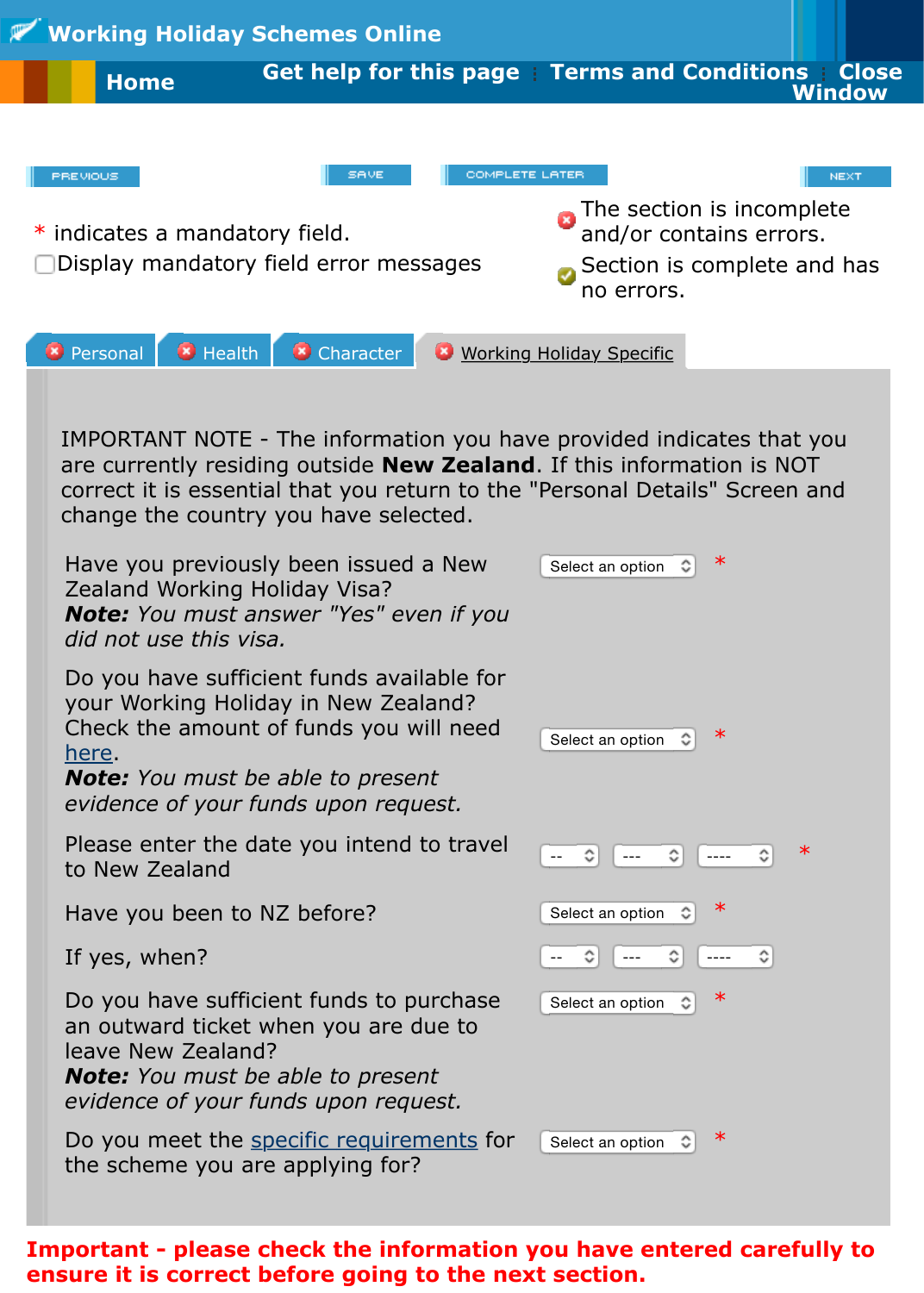

## **Important - please check the information you have entered carefully ensure it is correct before going to the next section.**